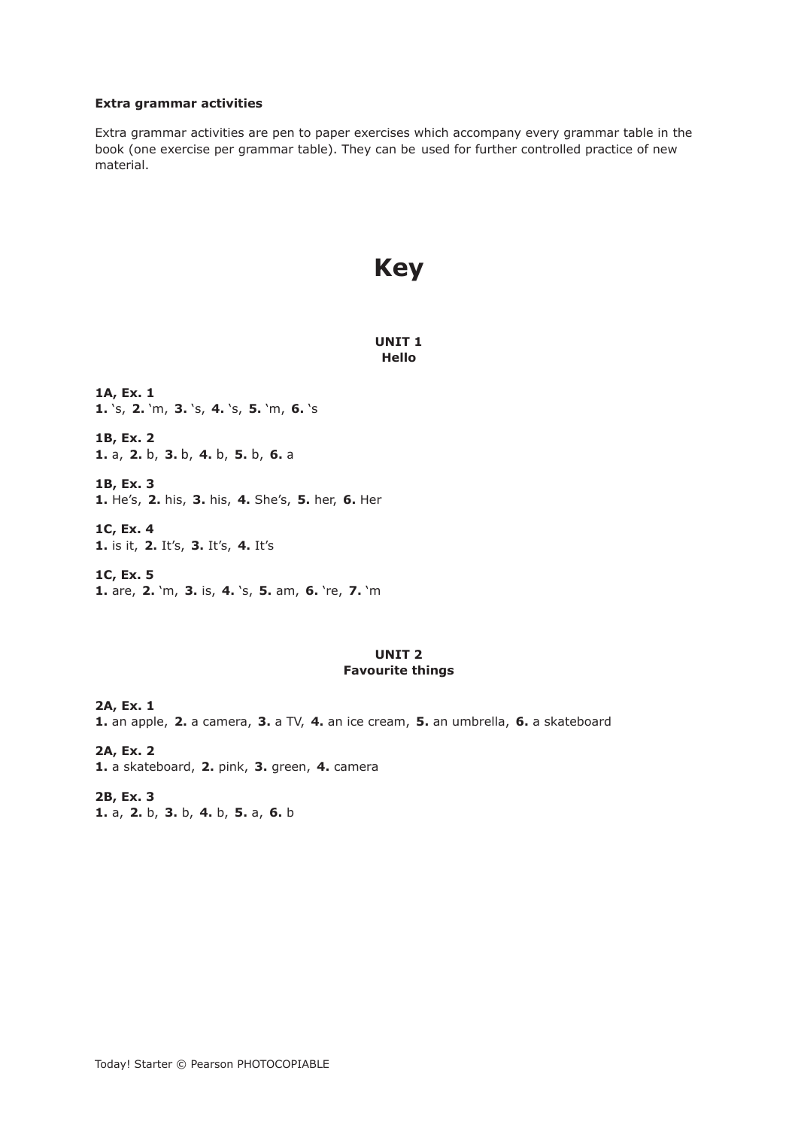### **Extra grammar activities**

Extra grammar activities are pen to paper exercises which accompany every grammar table in the book (one exercise per grammar table). They can be used for further controlled practice of new material.

# **Key**

**UNIT 1 Hello** 

**1A, Ex. 1 1.** 's, **2.** 'm, **3.** 's, **4.** 's, **5.** 'm, **6.** 's

**1B, Ex. 2 1.** a, **2.** b, **3.** b, **4.** b, **5.** b, **6.** a

**1B, Ex. 3 1.** He's, **2.** his, **3.** his, **4.** She's, **5.** her, **6.** Her

**1C, Ex. 4 1.** is it, **2.** It's, **3.** It's, **4.** It's

**1C, Ex. 5 1.** are, **2.** 'm, **3.** is, **4.** 's, **5.** am, **6.** 're, **7.** 'm

### **UNIT 2 Favourite things**

**2A, Ex. 1 1.** an apple, **2.** a camera, **3.** a TV, **4.** an ice cream, **5.** an umbrella, **6.** a skateboard

**2A, Ex. 2 1.** a skateboard, **2.** pink, **3.** green, **4.** camera

**2B, Ex. 3 1.** a, **2.** b, **3.** b, **4.** b, **5.** a, **6.** b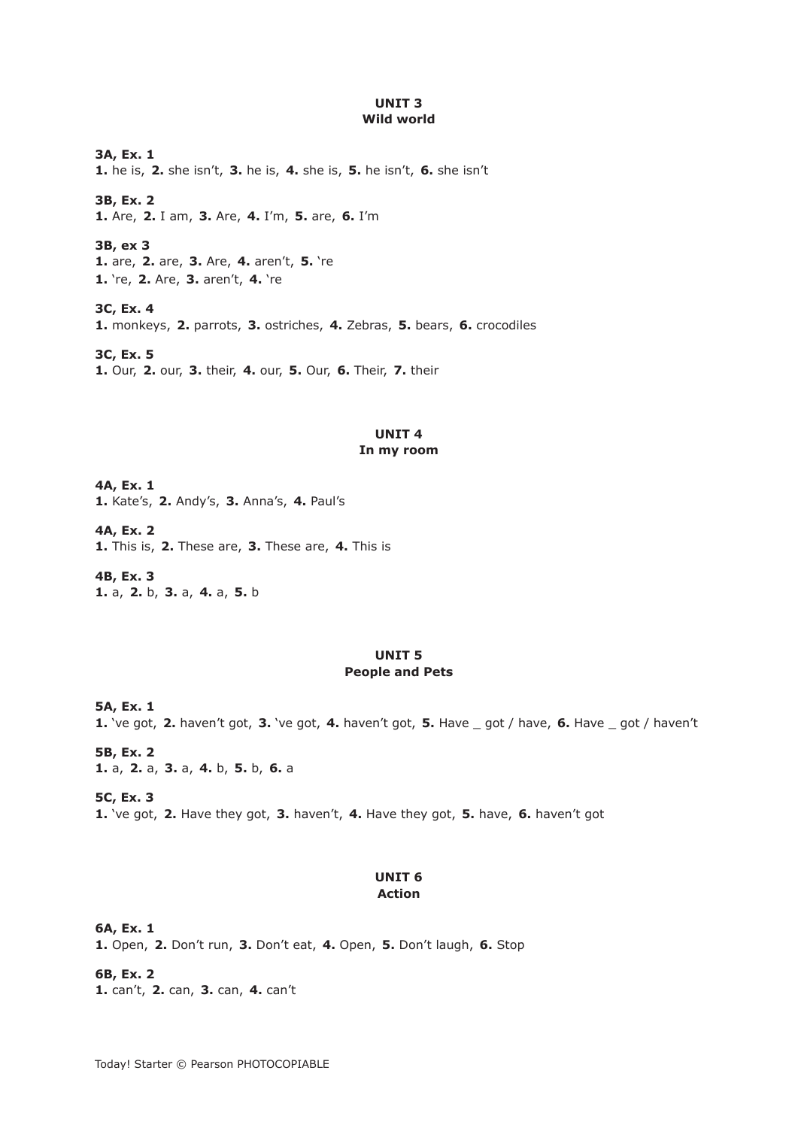### **UNIT 3 Wild world**

**3A, Ex. 1 1.** he is, **2.** she isn't, **3.** he is, **4.** she is, **5.** he isn't, **6.** she isn't

**3B, Ex. 2 1.** Are, **2.** I am, **3.** Are, **4.** I'm, **5.** are, **6.** I'm

**3B, ex 3 1.** are, **2.** are, **3.** Are, **4.** aren't, **5.** 're **1.** 're, **2.** Are, **3.** aren't, **4.** 're

**3C, Ex. 4 1.** monkeys, **2.** parrots, **3.** ostriches, **4.** Zebras, **5.** bears, **6.** crocodiles

**3C, Ex. 5 1.** Our, **2.** our, **3.** their, **4.** our, **5.** Our, **6.** Their, **7.** their

# **UNIT 4**

# **In my room**

**4A, Ex. 1 1.** Kate's, **2.** Andy's, **3.** Anna's, **4.** Paul's

**4A, Ex. 2 1.** This is, **2.** These are, **3.** These are, **4.** This is

**4B, Ex. 3 1.** a, **2.** b, **3.** a, **4.** a, **5.** b

### **UNIT 5 People and Pets**

**5A, Ex. 1 1.** 've got, **2.** haven't got, **3.** 've got, **4.** haven't got, **5.** Have \_ got / have, **6.** Have \_ got / haven't

**5B, Ex. 2 1.** a, **2.** a, **3.** a, **4.** b, **5.** b, **6.** a

**5C, Ex. 3 1.** 've got, **2.** Have they got, **3.** haven't, **4.** Have they got, **5.** have, **6.** haven't got

### **UNIT 6 Action**

**6A, Ex. 1** 

**1.** Open, **2.** Don't run, **3.** Don't eat, **4.** Open, **5.** Don't laugh, **6.** Stop

**6B, Ex. 2 1.** can't, **2.** can, **3.** can, **4.** can't